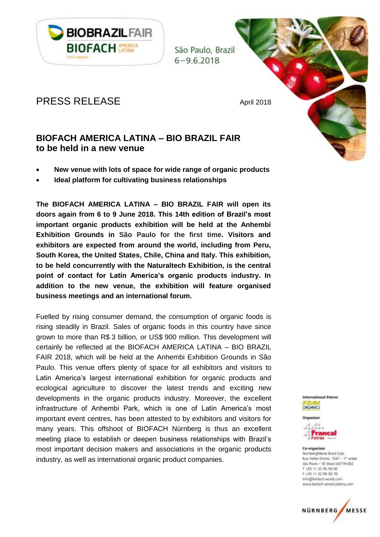

São Paulo, Brazil  $6 - 9.6.2018$ 

# PRESS RELEASE April 2018

## **BIOFACH AMERICA LATINA – BIO BRAZIL FAIR to be held in a new venue**

- **New venue with lots of space for wide range of organic products**
- **Ideal platform for cultivating business relationships**

**The BIOFACH AMERICA LATINA – BIO BRAZIL FAIR will open its doors again from 6 to 9 June 2018. This 14th edition of Brazil's most important organic products exhibition will be held at the Anhembi Exhibition Grounds in São Paulo for the first time. Visitors and exhibitors are expected from around the world, including from Peru, South Korea, the United States, Chile, China and Italy. This exhibition, to be held concurrently with the Naturaltech Exhibition, is the central point of contact for Latin America's organic products industry. In addition to the new venue, the exhibition will feature organised business meetings and an international forum.**

Fuelled by rising consumer demand, the consumption of organic foods is rising steadily in Brazil. Sales of organic foods in this country have since grown to more than R\$ 3 billion, or US\$ 900 million. This development will certainly be reflected at the BIOFACH AMERICA LATINA – BIO BRAZIL FAIR 2018, which will be held at the Anhembi Exhibition Grounds in São Paulo. This venue offers plenty of space for all exhibitors and visitors to Latin America's largest international exhibition for organic products and ecological agriculture to discover the latest trends and exciting new developments in the organic products industry. Moreover, the excellent infrastructure of Anhembi Park, which is one of Latin America's most important event centres, has been attested to by exhibitors and visitors for many years. This offshoot of BIOFACH Nürnberg is thus an excellent meeting place to establish or deepen business relationships with Brazil's most important decision makers and associations in the organic products industry, as well as international organic product companies.





#### Co-organizer NümbergMesse Brasil Ltda.

Rua Verbo Divino, 1547 - 7e andar São Paulo - SP, Brazil 04719-002 T +55 11 32 05-50 00 F +55.11.32.05-50.70 info@biofach-world.com www.biofach-americalatina.com

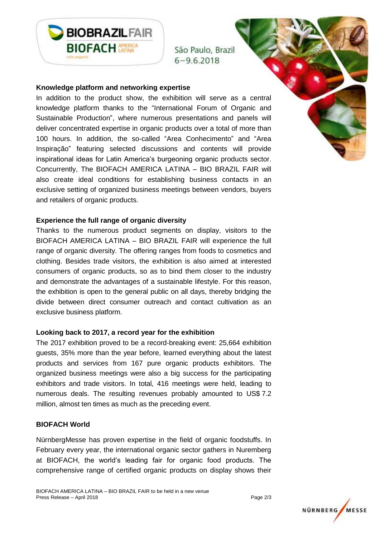

São Paulo, Brazil  $6 - 9.6.2018$ 

#### **Knowledge platform and networking expertise**

In addition to the product show, the exhibition will serve as a central knowledge platform thanks to the "International Forum of Organic and Sustainable Production", where numerous presentations and panels will deliver concentrated expertise in organic products over a total of more than 100 hours. In addition, the so-called "Area Conhecimento" and "Area Inspiração" featuring selected discussions and contents will provide inspirational ideas for Latin America's burgeoning organic products sector. Concurrently, The BIOFACH AMERICA LATINA – BIO BRAZIL FAIR will also create ideal conditions for establishing business contacts in an exclusive setting of organized business meetings between vendors, buyers and retailers of organic products.

#### **Experience the full range of organic diversity**

Thanks to the numerous product segments on display, visitors to the BIOFACH AMERICA LATINA – BIO BRAZIL FAIR will experience the full range of organic diversity. The offering ranges from foods to cosmetics and clothing. Besides trade visitors, the exhibition is also aimed at interested consumers of organic products, so as to bind them closer to the industry and demonstrate the advantages of a sustainable lifestyle. For this reason, the exhibition is open to the general public on all days, thereby bridging the divide between direct consumer outreach and contact cultivation as an exclusive business platform.

#### **Looking back to 2017, a record year for the exhibition**

The 2017 exhibition proved to be a record-breaking event: 25,664 exhibition guests, 35% more than the year before, learned everything about the latest products and services from 167 pure organic products exhibitors. The organized business meetings were also a big success for the participating exhibitors and trade visitors. In total, 416 meetings were held, leading to numerous deals. The resulting revenues probably amounted to US\$ 7.2 million, almost ten times as much as the preceding event.

#### **BIOFACH World**

NürnbergMesse has proven expertise in the field of organic foodstuffs. In February every year, the international organic sector gathers in Nuremberg at BIOFACH, the world's leading fair for organic food products. The comprehensive range of certified organic products on display shows their